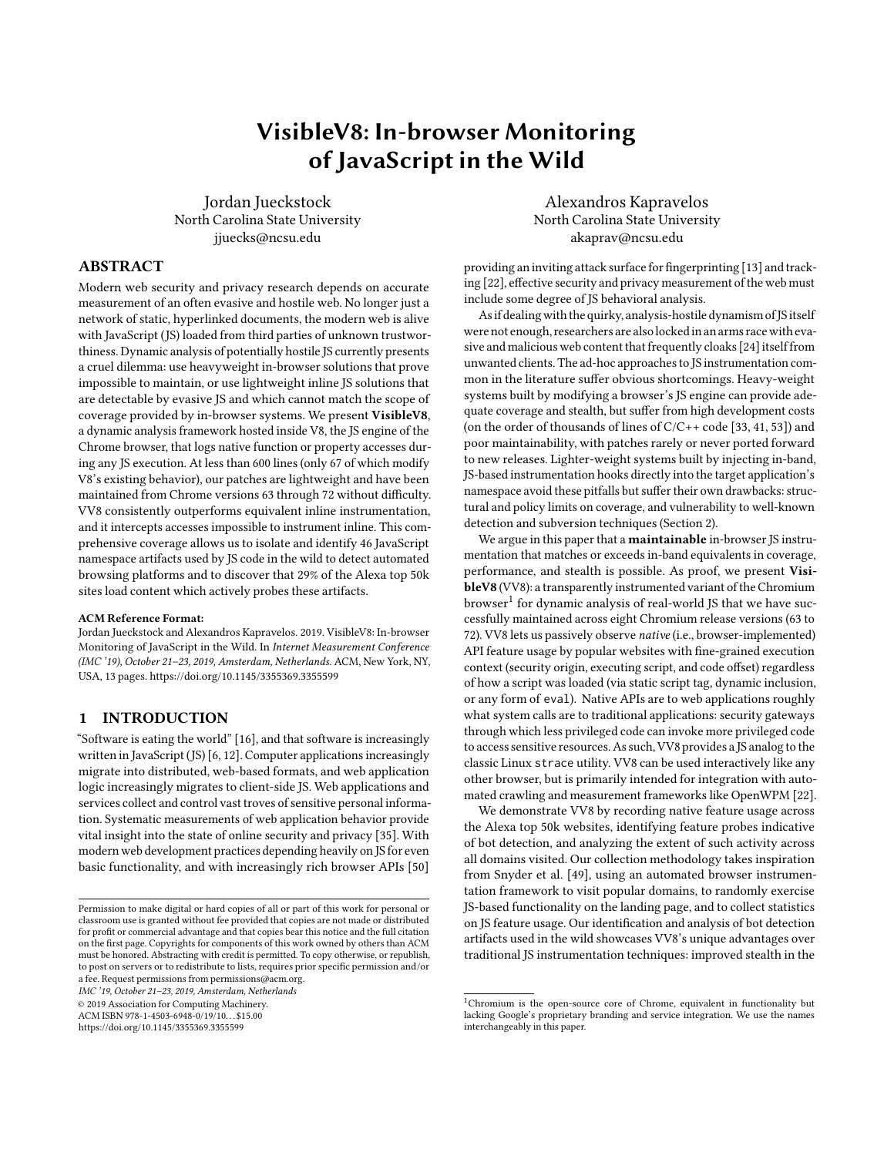# VisibleV8: In-browser Monitoring of JavaScript in the Wild

Jordan Jueckstock North Carolina State University jjuecks@ncsu.edu

## ABSTRACT

Modern web security and privacy research depends on accurate measurement of an often evasive and hostile web. No longer just a network of static, hyperlinked documents, the modern web is alive with JavaScript (JS) loaded from third parties of unknown trustworthiness. Dynamic analysis of potentially hostile JS currently presents a cruel dilemma: use heavyweight in-browser solutions that prove impossible to maintain, or use lightweight inline JS solutions that are detectable by evasive JS and which cannot match the scope of coverage provided by in-browser systems. We present VisibleV8, a dynamic analysis framework hosted inside V8, the JS engine of the Chrome browser, that logs native function or property accesses during any JS execution. At less than 600 lines (only 67 of which modify V8's existing behavior), our patches are lightweight and have been maintained from Chrome versions 63 through 72 without difficulty. VV8 consistently outperforms equivalent inline instrumentation, and it intercepts accesses impossible to instrument inline. This comprehensive coverage allows us to isolate and identify 46 JavaScript namespace artifacts used by JS code in the wild to detect automated browsing platforms and to discover that 29% of the Alexa top 50k sites load content which actively probes these artifacts.

#### ACM Reference Format:

Jordan Jueckstock and Alexandros Kapravelos. 2019. VisibleV8: In-browser Monitoring of JavaScript in the Wild. In Internet Measurement Conference (IMC '19), October 21–23, 2019, Amsterdam, Netherlands. ACM, New York, NY, USA, 13 pages.<https://doi.org/10.1145/3355369.3355599>

## 1 INTRODUCTION

"Software is eating the world" [16], and that software is increasingly written in JavaScript (JS) [6, 12]. Computer applications increasingly migrate into distributed, web-based formats, and web application logic increasingly migrates to client-side JS. Web applications and services collect and control vast troves of sensitive personal information. Systematic measurements of web application behavior provide vital insight into the state of online security and privacy [35]. With modern web development practices depending heavily on JS for even basic functionality, and with increasingly rich browser APIs [50]

IMC '19, October 21–23, 2019, Amsterdam, Netherlands

© 2019 Association for Computing Machinery.

ACM ISBN 978-1-4503-6948-0/19/10...\$15.00

<https://doi.org/10.1145/3355369.3355599>

Alexandros Kapravelos North Carolina State University akaprav@ncsu.edu

providing an inviting attack surface for fingerprinting [13] and tracking [22], effective security and privacy measurement of the web must include some degree of JS behavioral analysis.

As if dealing with the quirky, analysis-hostile dynamism of JS itself were not enough, researchers are alsolockedin an arms race with evasive and malicious web content that frequently cloaks [24] itself from unwanted clients. The ad-hoc approaches to JS instrumentation common in the literature suffer obvious shortcomings. Heavy-weight systems built by modifying a browser's JS engine can provide adequate coverage and stealth, but suffer from high development costs (on the order of thousands of lines of C/C++ code [33, 41, 53]) and poor maintainability, with patches rarely or never ported forward to new releases. Lighter-weight systems built by injecting in-band, JS-based instrumentation hooks directly into the target application's namespace avoid these pitfalls but suffer their own drawbacks: structural and policy limits on coverage, and vulnerability to well-known detection and subversion techniques (Section 2).

We argue in this paper that a **maintainable** in-browser JS instrumentation that matches or exceeds in-band equivalents in coverage, performance, and stealth is possible. As proof, we present VisibleV8 (VV8): a transparently instrumented variant of the Chromium browser<sup>1</sup> for dynamic analysis of real-world JS that we have successfully maintained across eight Chromium release versions (63 to 72). VV8 lets us passively observe native (i.e., browser-implemented) API feature usage by popular websites with fine-grained execution context (security origin, executing script, and code offset) regardless of how a script was loaded (via static script tag, dynamic inclusion, or any form of eval). Native APIs are to web applications roughly what system calls are to traditional applications: security gateways through which less privileged code can invoke more privileged code to access sensitive resources. As such, VV8 provides a JS analog to the classic Linux strace utility. VV8 can be used interactively like any other browser, but is primarily intended for integration with automated crawling and measurement frameworks like OpenWPM [22].

We demonstrate VV8 by recording native feature usage across the Alexa top 50k websites, identifying feature probes indicative of bot detection, and analyzing the extent of such activity across all domains visited. Our collection methodology takes inspiration from Snyder et al. [49], using an automated browser instrumentation framework to visit popular domains, to randomly exercise JS-based functionality on the landing page, and to collect statistics on JS feature usage. Our identification and analysis of bot detection artifacts used in the wild showcases VV8's unique advantages over traditional JS instrumentation techniques: improved stealth in the

Permission to make digital or hard copies of all or part of this work for personal or classroom use is granted without fee provided that copies are not made or distributed for profit or commercial advantage and that copies bear this notice and the full citation on the first page. Copyrights for components of this work owned by others than ACM must be honored. Abstracting with credit is permitted. To copy otherwise, or republish, to post on servers or to redistribute to lists, requires prior specific permission and/or a fee. Request permissions from permissions@acm.org.

<sup>&</sup>lt;sup>1</sup>Chromium is the open-source core of Chrome, equivalent in functionality but lacking Google's proprietary branding and service integration. We use the names interchangeably in this paper.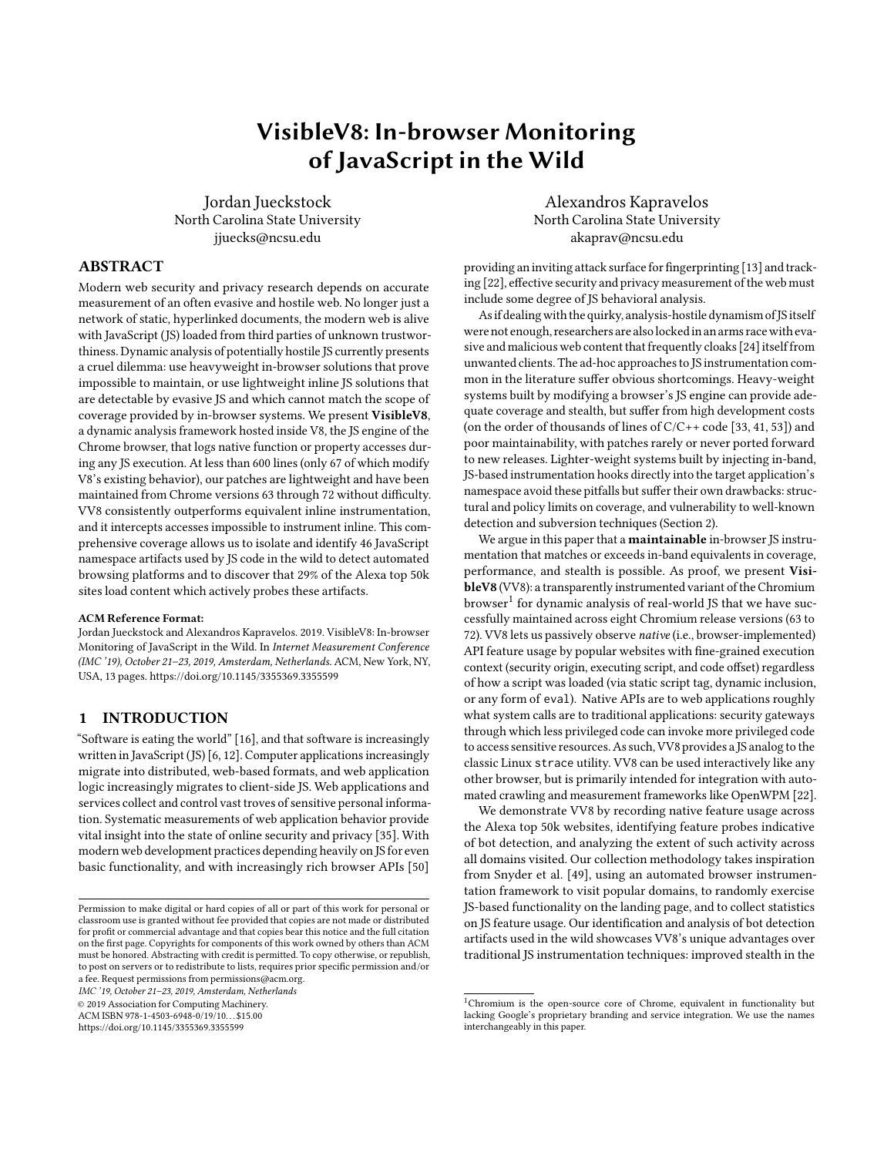IMC '19, October 21-23, 2019, Amsterdam, Netherlands Jordan Jueckstock and Alexandros Kapravelos

face of evasive scripts, and universal property access tracking on native objects that do not support proxy-based interposition.

Our contributions include:

- We demonstrate that state-of-the-art inline JS instrumentation fails to meet classical criteria for reference monitors [15] and cannot prevent evasive scripts from deterministic detection of instrumentation.
- We present the first maintainable in-browser framework for transparent dynamic analysis of JS interaction with native APIs. Using instrumented runtime functions and interpreter bytecode injection, VV8 monitors native feature usage from inside the browser without disrupting JIT compilation or leaving incriminating artifacts inside JS object space.We will open source our patches and tools upon publication.
- We use VV8's universal property access tracing to discover non-standard features probed by code that detects "bots" (i.e., automated browsers, such as those used by researchers). We find that on 29% of the Alexa top 50k sites, at least one of 49 identified bot artifacts is probed. This is clear evidence that web measurements can be affected by the type of browser or framework that researchers use.

## 2 BACKGROUND & MOTIVATION

#### 2.1 Trends and Trade-offs

The state of the art in web measurements for security and privacy relies on full browsers, not simple crawlers or browser-simulators, to visit web sites. Experience with the OpenWPM framework [22] indicated measurements from standard browsers (e.g., Firefox and Chromium) to be more complete and reliable than those from lightweight headless browsers (e.g., PhantomJS [10]). However, the question of how best to monitor and measure JS activity within a browser remains open. Assuming an open-source browser, researchers can modify the implementation itself to provide in-browser (i.e., out-ofband) JS instrumentation. Alternatively, researchers can exploit the flexibility of JS itself to inject language-level (i.e., in-band) instrumentation directly into JS applications at run-time.

We provide a summary of recent security and privacy related research that measured web content using JS instrumentation in Table 1. Note that here "taint analysis" implies "dynamic analysis" but additionally includes tracking tainted data flows from source to sink. Fine-grained taint analysis is a heavy-weight technique, as is comprehensive forensic record and replay, so it is not surprising that these systems employed out-of-band (in-browser) implementations in native (C/C++) code. Lighter weight methodologies that simply log (or block) use of selected API features have been implemented both in- and out-of-band, but the in-band approach is more popular, especially in more recent works.

## 2.2 Fundamental Criteria

The problem of monitoring untrusted code dates to the very dawn of computer security and inspired the concept of a reference monitor [15], a software mediator that intercepts and enforces policy on all attempted access to protected resources. The traditional criteria of correctness for reference monitors are that they be tamper proof, be always invoked (i.e., provide complete coverage), and be provably correct, though this last element may be lacking in



Figure 1: Reference monitors (RM) in traditional OS & application security

practical implementations. For security and privacy measurements, we add the additional criterion of stealth: evasive or malicious code should not be able to trivially detect its isolation within the reference monitor and hide its true intentions from researchers, since such an evasion could compromise the integrity of the derived results.

A classic example of a practical reference monitor is an operating system kernel: it enforces access control policies on shared resources, typically using a rings of protection scheme (Figure 1) assisted by hardware. In order to enforce security policies like access controls and audits, the kernel must run in a privileged ring. Untrusted user code runs in a less-privileged ring, where the kernel (i.e., the reference monitor) can intercept and thwart any attempt to violate system policy. Alternatively, inlined reference monitors (IRMs) [23] attempt to enforce policy while cohabiting the user ring with the monitored application, typically by rewriting and instrumenting the application's code on the fly at load or run time.

On the web, the browser and JS engine provide the equivalent of a kernel, while JS application code runs in a "user ring" enforced by the semantics of the JS language. JS instrumentation in general is a kind of reference monitor; implemented in-band, it constitutes an IRM. We argue that the JS language's inherent semantics and current implementation details make it impossible to build sound, efficient, general-purpose IRMs in JS on modern web browsers.

## 2.3 The Case Against In-Band JS Instrumentation

The standard approach to in-band JS instrumentation, which we call "prototype patching," is to *replace* references to target JS functions or objects with references to instrumented wrapper functions or proxy objects $\rm ^2$ . The wrappers can access the original target through

 $2$ Other forms of JS IRM exist, like nested interpreters [18, 52] and code-rewriting systems [20], but these have not yet proven fast enough for real-world measurement work.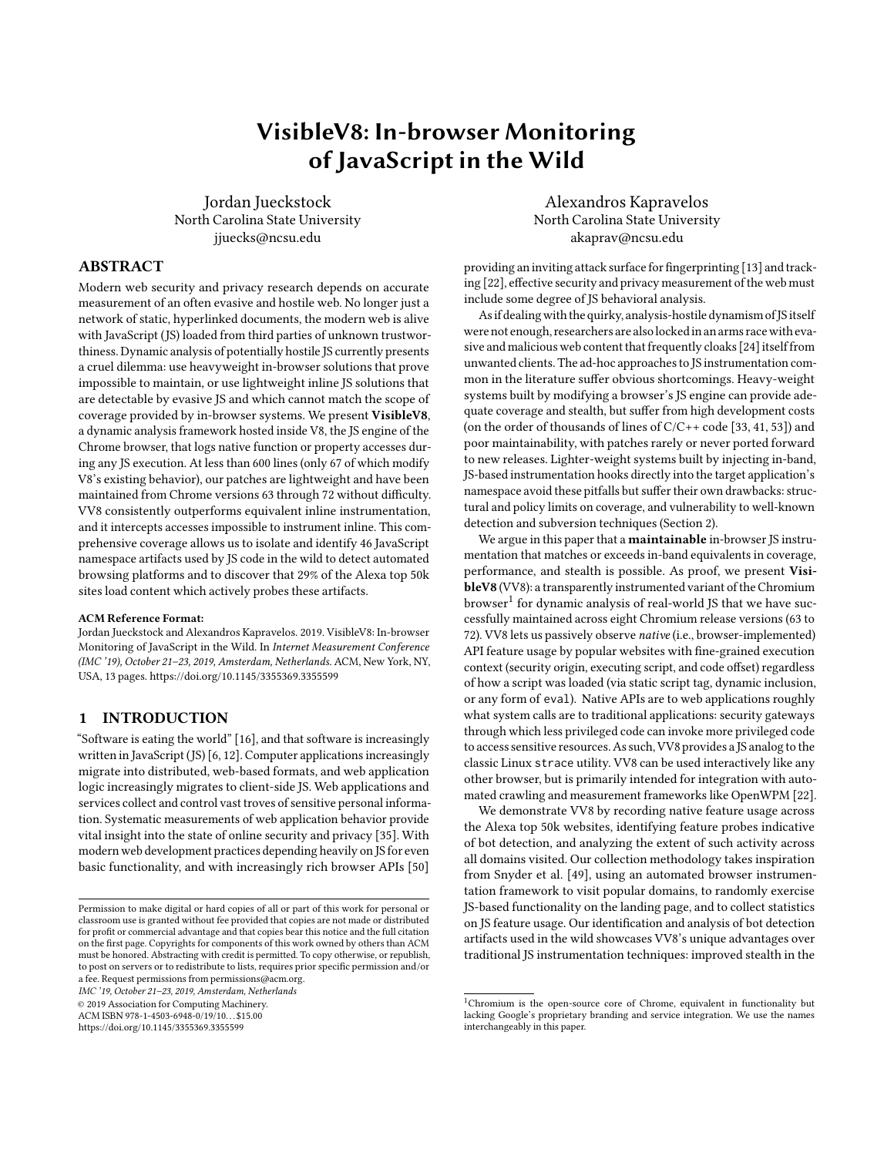of JavaScript in the Wild IMC '19, October 21–23, 2019, Amsterdam, Netherlands

| System                              | Implementation | Role                   | Problem          | Platform              | Availability |
|-------------------------------------|----------------|------------------------|------------------|-----------------------|--------------|
| OpenWPM $[21, 22, 38]$ <sup>1</sup> | In-band        | Dynamic analysis       | Various          | Firefox $SDK^2$       |              |
| Snyder et al., 2016 [49]            | In-band        | Dynamic analysis       | Attack surface   | Firefox SDK           |              |
| FourthParty [35]                    | In-band        | Dynamic analysis       | Privacy/tracking | Firefox SDK           |              |
| TrackingObserver [45]               | In-band        | Dynamic analysis       | Privacy/tracking | WebExtension          |              |
| JavaScript Zero [47]                | In-band        | Policy enforcement     | Side-channels    | WebExtension          |              |
| Snyder <i>et al.</i> , 2017 [50]    | In-band        | Policy enforcement     | Privacy/tracking | Firefox SDK           |              |
| Li et al., 2014 [34]                | Out-of-band    | Dynamic analysis       | Malware          | Firefox (unspecified) |              |
| FPDetective [13]                    | Out-of-band    | Dynamic analysis       | Privacy/tracking | Chrome $32^3$         |              |
| WebAnalyzer [48]                    | Out-of-band    | Dynamic analysis       | Privacy/tracking | Internet Explorer 8   |              |
| JSgraph <sup>[33]</sup>             | Out-of-band    | Forensic record/replay | Malware/phishing | Chrome 48             |              |
| WebCapsule [41]                     | Out-of-band    | Forensic record/replay | Malware/phishing | Chrome 36             |              |
| Mystique $[19]$                     | Out-of-band    | Taint analysis         | Privacy/tracking | Chrome 58             |              |
| Lekies <i>et al.</i> $[31, 32]$     | Out-of-band    | Taint analysis         | XSS              | Chrome (unspecified)  | ( –)         |
| Stock et al. [51]                   | Out-of-band    | Taint analysis         | <b>XSS</b>       | Firefox (unspecified) | ( —          |
| Tran <i>et al.</i> , 2012 [53]      | Out-of-band    | Taint analysis         | Privacy/tracking | Firefox 3.6           | ( –)         |

<sup>1</sup> Including only OpenWPM usage depending on JS instrumentation

2 Supported only through Firefox 52 (end-of-life 2018-09-05)

 $^3$  Used both PhantomJS and Chrome built from a common patched WebKit

```
4 Binaries only
```

|  |  |  |  |  |  |  | Table 1: Survey of published JS instrumentation systems |  |  |
|--|--|--|--|--|--|--|---------------------------------------------------------|--|--|
|--|--|--|--|--|--|--|---------------------------------------------------------|--|--|

references captured in a private scope inaccessible to any other code. Note that the target objects themselves are not replaced or instrumented, only the references to them (a potential pitfall highlighted in prior work [37]).

Structural Limits. The JS language relies heavily on a global object (window in browsers) which doubles as the top level namespace. There is no mutable root reference to the global object, and thus no way to replace it with a proxy version. Specific properties of the global object may be instrumented selectively, but this process naturally requires a priori knowledge of the target properties. In-band instrumentation cannot be used to collect arbitrary global property accesses, as required for our methodology in Section 5. This limitation means that in-band JS instrumentation fails the complete coverage criterion.

Policy Limits. Not all Chrome browser API features can be patched or wrapped by design policy. These features can be identified using the WebIDL [7] (interface definition language) files included in the Chromium sources. For Chrome 64, these files defined 5,755 API functions and properties implemented for use by web content (there are more available only to internal test suites). 21 are marked Unforgeable and cannot be modified at all. Notably, this set includes window.location and window.document, preventing in-band instrumentation of arbitrary-property accesses on either of these important objects. Again, such a restriction would have eliminated many of our results in Section 5.

Patch Detection. Prototype patches of native API functions (or property accessors) can be detected directly and thus fail the criterion of stealth. JS functions are objects and can be coerced to strings. In every modern JS engine, the resulting string reveals whether the function is a true JS function or a binding to a native function. Patching a native function (e.g., window.alert) with a non-native JS wrapper function is a dead giveaway of interposition.

```
1 /* from https://cdn.flashtalking.com/xre/275/
2 2759859/1948687/ js/j -2759859 -1948687. js */
3/\frac{1}{8} (all variable names original) */<br>4 var badWrite = !(document.write
    var badWrite = !(document.write
           instanceof Function && ~ document . write . toString () .
5 | indexOf ('[native code]'));
6
7 \frac{x}{1 + 1} (later on, among other logic checks) */<br>8 if (badWrite II o.append) {
    if (badWrite || o. append) {
9 | o.scriptLocation.parentNode.insertBefore(
10 /* omitted for brevity */);
    11 } else {
12 document . write (div . outerHTML);
13 }
```
#### Listing 1: Prototype patch evasion in the wild

The function-to-string probe has been employed to detect fingerprinting countermeasures [55] and appears commonly in real-world JS code. In many cases, such checks appear strictly related to testing available features for browser compatibility. But there also exist cases like Listing 1, in which the script changes its behavior in direct response to a detected patch. Function-to-string probe evasions abound, from the obvious (patch the right toString function, too) to the subtle. In Listing 2, the "[native code]" string literal in the patch function appears in the output of toString and will fool a sloppy function-to-string probe that merely tests for the presence of that substring.

Let us assume a "perfect" patching system invisible to toString probes has been used to instrument createElement, the single most popular browser API observed in our data collection across the Alexa 50k (Section 4). Such a patch is still vulnerable to a probe that exploits JS's type coercion rules with a Trojan argument to detect patches on the call stack at runtime (Listing 3).

For brevity, the provided proof-of-concept calls the Error constructor, which could itself be patched, but there are other ways of obtaining a stack trace in JS. The Byzantine complexity of JS's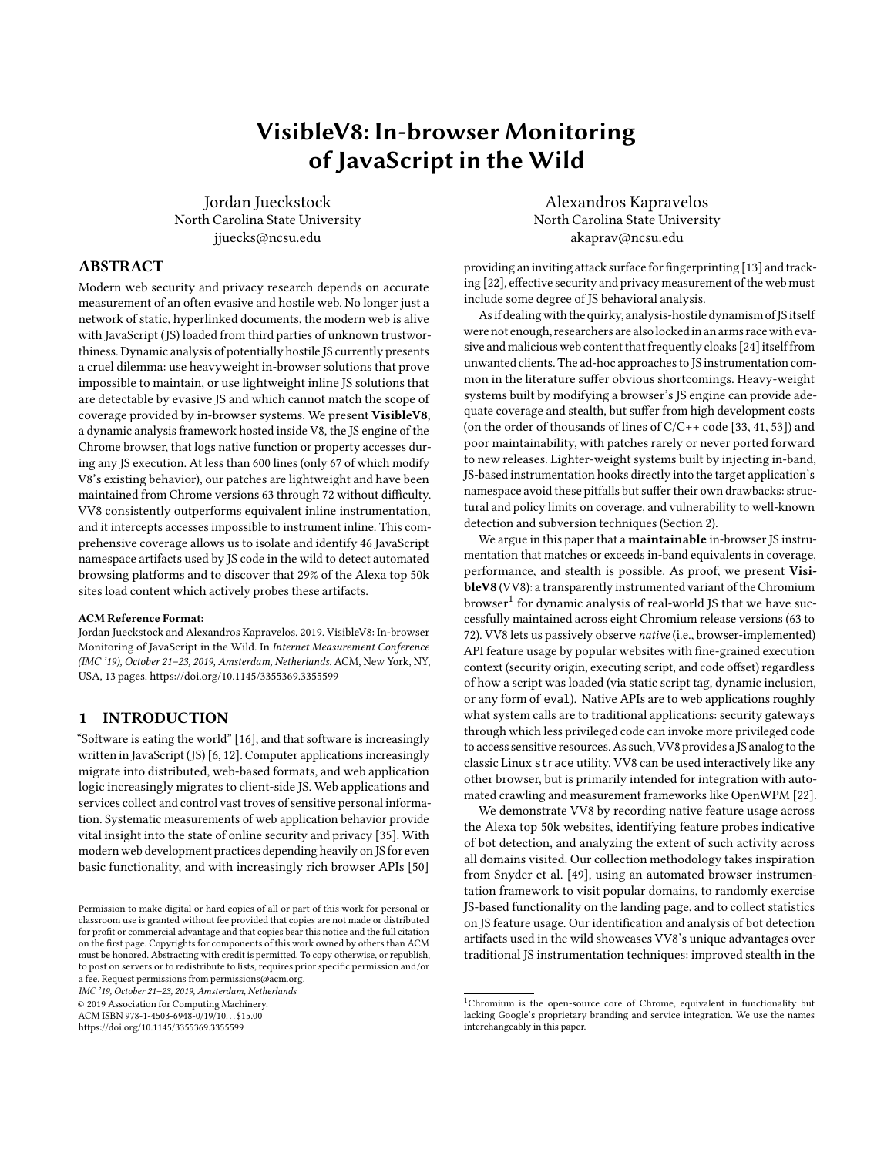IMC '19, October 21-23, 2019, Amsterdam, Netherlands Jordan Jueckstock and Alexandros Kapravelos

```
1 / * from
            https :// clarium . global .ssl. fastly .net ("..." comment
             means irrelevant portions elided for brevity) */2 patchNodeMethod: function(a) {<br>3 var b = this.
           var b = this.
4 c = Node . prototype \lceil a \rceil:
 5 Node . prototype [a] = function (a) {
6 " [ native code ] ";
\begin{array}{c|c|c|c|c|c} \hline 7 & \text{var d = a.src} & \hline 8 & \text{return } \hline \end{array}return /*
9 c. apply (this , arguments )
\begin{array}{c|c}\n 10 & & \n \end{array}11 /* \dots */12 }
```
Listing 2: Function patches hiding in plain sight

```
1 function paranoidCreateElement (tag) {<br>2 return document createElement ({
2 return document.createElement({<br>3 toString: function() {
       3 toString : function () {
4 var callers = new Error().stack.split('\n').slice(1);<br>5 if (/at paranoidCreateElement /.test(callers[1])) {
         5 if (/ at paranoidCreateElement /. test ( callers [1]) ) {
6 return tag; /* no patch */<br>7 } else {
        7 } else {
8 throw new Error ("evasive action!"); /* patched! */
        {}_{3}, }) ; }
```


pathologically dynamic type system offers many opportunities for callback-based exposure of patches and proxies via stack traces. Here prototype patches face a cruel dilemma: either invoke the toString operation and open the gates to side-effects (allowing detection and evasion), or refuse to invoke it and break standard JS semantics (allowing detection and evasion).

Patch Subversion. Finally, prototype patches can be subverted through abuse of <iframe> elements. Each <iframe> is an independent browser window with its own global object, unaffected by prototype patches in other frames. We have observed scripts exploiting this fact to evade patches they have detected.

```
1 / \star from https
            :// an. yandex .ru/ resource / context_static_r_4583 .js */
2 / * (some names changed
            for clarity; cachedJSON is initially null) */3 if ( window . JSON
          4 && a. checkNativeCode ( JSON . stringify )
5 8& a.checkNativeCode (JSON.parse))<br>6 return window.JSON;
          return window. JSON;
\begin{array}{c} 7 \\ 8 \end{array} if (!cachedJSON) {<br>8
8 var t = getInjectedIFrameElement();<br>9 cachedISON = t contentWindow ISON:
9 cachedJSON = t.contentWindow.JSON;<br>10 var e = t.parentNode:
          var e = t.parentNode;
11 e. parentNode. removeChild (e)
12 }
```
Listing 4: Patch subversion in the wild

In Listing 4, the script resorts to frame injection to avoid patched JSON encoding/decoding functions. Short of blocking the creation of all <iframe>s (and thus breaking much of the web), the only defense against this evasion is to ensure that prototype patching code is always run inside newly created frames before any other code can access its contents. Such an invariant can be established through some browser automation and debugging frameworks, like Chrome DevTools. But the web extension APIs of both Firefox and Chrome, as currently implemented, do not provide such a guarantee to extension





Figure 2: V8 architecture with VV8's additions

authors, effectively crippling privacy or security (or research [45, 47, 49]) extensions that rely on this technique. (The author of a prior related work [50] reported this bug to both the Firefox [3] and Chrome [4] projects; neither report has been resolved at the time of this writing, and we have confirmed that Chrome 71 is still affected.)

#### 2.4 Summary

Robust JS instrumentation systems must be tamper proof, must provide comprehensive coverage, and must not introduce unmistakable identifying artifacts. At present, JS language semantics and browser implementation details prevent in-band implementations from meeting these criteria. We believe that security-critical JS instrumentation, like traditional operating system auditing and enforcement logic, belongs in "kernel space," i.e., within the browser implementation itself. But to be useful such a system must be cost-effective, both to develop and to maintain.

## 3 SYSTEM ARCHITECTURE

We present cost-effective out-of-band JS instrumentation via VisibleV8, a variant of Chrome that captures and logs traces of all native API accesses made by any JS execution during browsing. Here we explain VV8's internal design, relate our experience maintaining it over several Chrome update cycles, evaluate its raw performance against several alternatives, and describe the data collection and analysis system we have built around VV8 to demonstrate its potential for real-world measurement work.

#### 3.1 Chromium/V8 Internals

Chromium is a massive project (over 20 million lines of code at time of writing), actively developed, and frequently updated. Fortunately, the Chromium browser's architecture is modular, as is the design of its V8 JS engine, so we can restrict our changes to a tiny subset of the entire browser code base.

Modern versions of V8 handles JS parsing and execution via the Ignition bytecode interpreter and the TurboFan JIT compiler (Figure 2). Ignition parses JS source code, generates bytecode, and executes bytecode;its designis optimized for low latency, not high throughput. When run-time statistics indicate that JIT compilation is desired, TurboFan aggressively optimizes and translates the relevant bytecode into native machine code.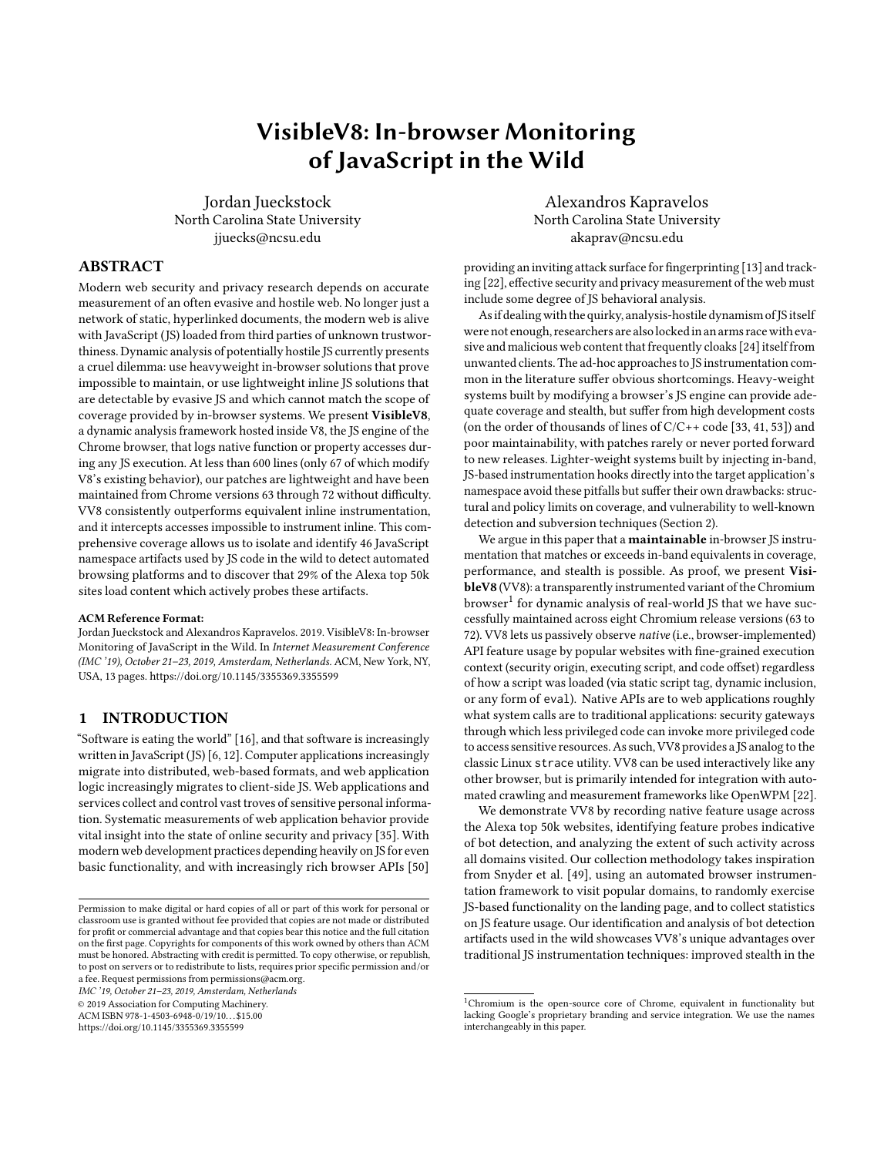of JavaScript in the Wild IMC '19, October 21–23, 2019, Amsterdam, Netherlands

Ignition and TurboFan rely on a large supporting run-time library (RTL) that includes a foreign-function interface allowing JS code to call into native (i.e., C++) code via type-safe API function bindings created by the hosting application (e.g., Chrome). Functionality not implemented by JS code or by V8 built-in code (e.g., Math.sqrt) must use an API binding to native browser code. V8's RTL thus forms a software-enforced JS/native boundary not unlike a system call boundary in a traditional OS kernel.

In V8's 2-stage implementation, source code translation happens once, and the run-time behavior of that source code is fixed (modulo JIT compiler optimizations) at the point of bytecode generation. This predictable workflow keeps our patches to V8 small and selfcontained.

## 3.2 VisibleV8 Implementation

VV8 intercepts and logs all native API access from JS execution during browsing. Native API accesses comprise API function calls and all get and set operations on properties of JS objects constructed by native (i.e., C++) code in the browser itself. The resulting traces include context information (e.g., the source code location triggering this event), feature names, and some abbreviated activity details like function call parameters and the value being stored during property writes. Our patches are small: 67 lines of code changed or added inside V8 itself to insert our instrumentation hooks, and 472 lines of new code for filtering and logging.

Instrumenting Native Function Calls. All foreign function calls through the JS/native boundary are routed through a single V8 runtime function that handles the transition from the bytecode interpreter to native execution and back. By adding a single call statement invoking our centralized tracing logic to this C++ function, we can hook all such calls made under Ignition bytecode interpretation. However, when the bytecode is JITted to optimized machine code, one of TurboFan's hundreds of optimization transforms will reduce the call through that hooked runtime function into a more direct alternative. This transformation would disrupt our function call tracing, so we disabled that single specific reduction, leaving the rest of the JIT compiler untouched. This removal slows V8 down by 1.3% on the Mozilla Dromaeo micro-benchmark suite (Section 3.3), with margins of error near 1% as well. For the cost of two trivial code modifications and very modest overhead, we gain full visibility of JS calls into native API bindings under both bytecode interpretation and JITted code execution.

Instrumenting Native Property Accesses. V8 provides no similarly convenient single choke-point from which all native object property accesses can be observed. Property access is a frequent and complicated operation in JS, and V8 has multiple fast-paths for different access scenarios. Therefore, we target not the execution of any bytecode here, but rather the generation of property-accessing bytecode.

JS code entering V8 is first processed by Ignition's source-tobytecode compiler before any execution. The bytecode compiler uses a classic syntax-directed architecture. First, a parser constructs an abstract syntax tree(AST) from JS source code. Then, the bytecode generator walks this AST while generating bytecode to implement the semantics required by the original JS syntax.

We instrument property access to native objects by patching the bytecode generator. Specifically, we add statements to the AST visitor logic for property get and set expressions to emit additional bytecode instructions in each case. These instructions call a custom V8 runtime function containing our tracing logic. Since such runtime calls are effectively opaque black boxes to the TurboFan optimizer, our hook instruction cannot be automatically optimized away during JIT compilation. So our injected hook's semantics are preserved from bytecode generation, through interpretation and JIT compilation, to optimized machine code execution. For completeness, we also hook the built-in implementation of Reflect.get and Reflect.set in the RTL using the same approach as for native function calls. Thus, we also capture property accesses via calls to the JS Reflection API, not only through member-access expressions.

Capturing Execution Context. All of our hooks, whether in runtime functions or in injected bytecode, call into our central tracing logic. Written in C++ and compiled into V8, this code is responsible for filtering events and capturing execution context information for the trace log.

Native API calls are always logged. But since our property-access hooks intercept all syntax- and reflection-based property accesses, we must filter those events. We log only property accesses on native objects as indicated by V8's internal object metadata API. V8 treats the JS global object as a unique special case, but we treat it as a standard native object for logging purposes.

Fine-grained feature-usage analysis requires a significant amount of execution context to be logged along with each function call or property access. We link feature usage not just with a visited domain, but also with the active security origin, active script, and location within that script. We use V8's C++ APIs to extract the invoking script and location from the top frame of the JS call stack and the security origin from the origin property of the active global object. V8 and Blink sometimes execute internal JS code in a non-Web context, where the global object has no origin property or it has a non-string value. In this case an "unknown" origin is recorded (and we can later discard this activity from our analysis). The visit domain (i.e., from the URL displayed in the browser's address bar) is associated with the log during post-processing.

Logging Trace Data. Reliably recording JS trace data at low cost introduced its own engineering challenges. Repeatedly looking up and logging identical context for successive events wastes CPU time, I/O bandwidth, and storage space. We therefore track execution context state (such as active script) over time, and log it only when it has changed since the last logged event. This optimization introduces state-tracking and synchronization issues.

Chrome uses multiple processes and threads to achieve good performance and strong isolation. Even with just a single browser tab open, JS code can be executing simultaneously across multiple threads. To keep our traces coherent, we must track context and log events on a per-thread basis. To store our separate trace log streams without races or synchronization bottlenecks, we create per-thread log files.

#### 3.3 Performance

With every JS object property access intercepted and possibly logged, we expected VV8 to be significantly slower than stock Chrome in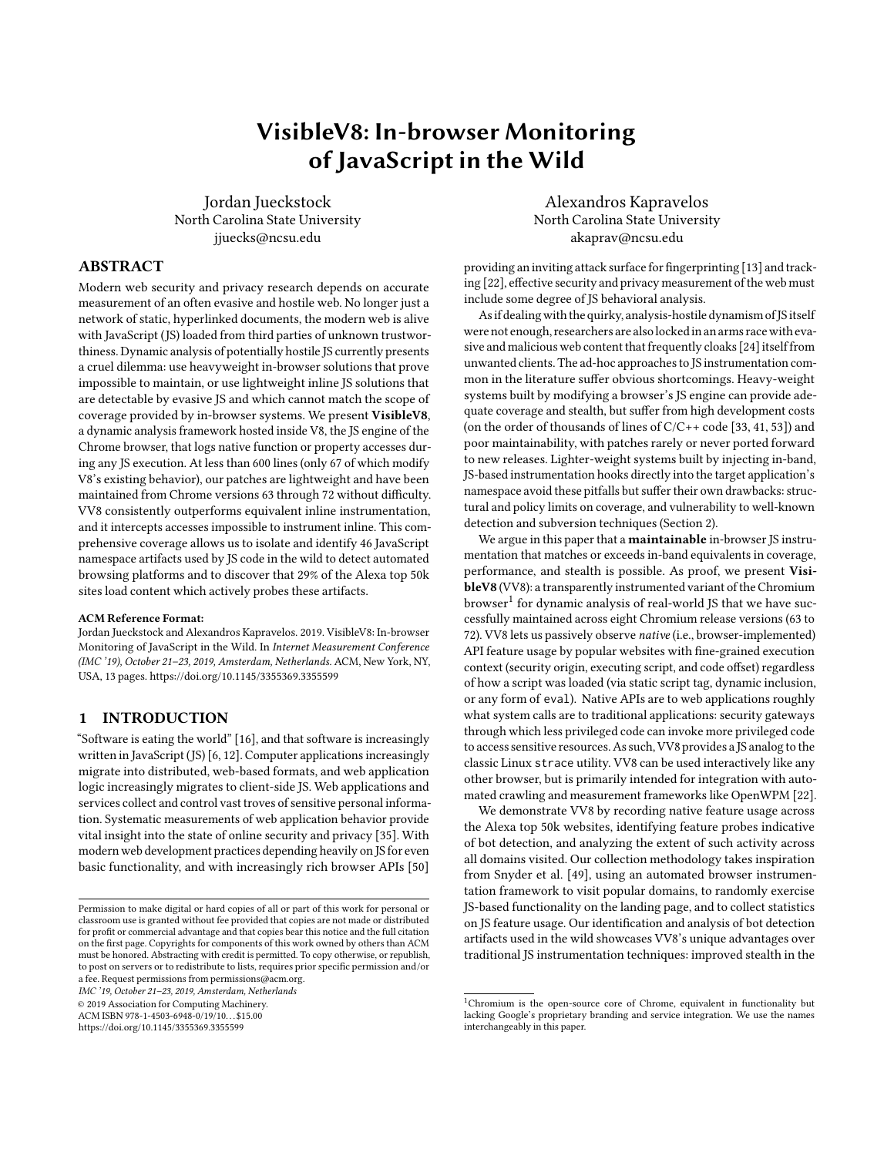#### IMC '19, October 21-23, 2019, Amsterdam, Netherlands Jordan Jueckstock and Alexandros Kapravelos



Figure 3: Instrumentation performance on Browser-Bench.org [8] and Mozilla Dromaeo [9]

the worst case. We verified this expectation by measuring the overhead by benchmarking a set of Chrome and VV8 variants with both the WebKit project's BrowserBench [8] and Mozilla's Dromaeo [9]. Unless otherwise noted, tests were performed under Linux 4.19.8 on an Intel Core i7-7700 (4 cores, 3.6GHz) with 16GiB RAM and an SSD. See Figure 3.

We tested four variants of Chrome 64 for Linux, including a baseline variant with no JS instrumentation at all (plain). We include two VV8 builds: the complete system as described above (full) and a variant with property access interception disabled (light). VV8-light is roughly equivalent in coverage and logging to our final variant, stock Chrome running a custom prototype-patching extension roughly equivalent to the (unreleased) instrumentation used by Snyder et al. to measure browser feature across the Alexa top 10K [49]. This last variant (w/in-band) attempts to provide an apples-to-apples comparison of in-band and out-of-band instrumentation instrumenting a comparable number of APIs (functions only) and recording comparably rich trace logs. All Chrome builds were based on the Chrome 64 stable release for Linux and use the same settings and optimizations.

BrowserBench tests the JS engine in isolation (JetStream, ARES-6), JS and the DOM (Speedometer), and JS and Web graphics (MotionMark). VV8-light either meets or decisively beats its in-band equivalent in every case. VV8-full consistently suffers 60% to 70% overhead vs.the baseline, but on the whole-browser tests (Speedometer, MotionMark) it performs comparably to the in-band variant, which captures significantly less data (i.e., no property accesses). These numbers match our experience interacting with VV8, where we observe it providing acceptable performance on real-world, JSintensive web applications like Google Maps. Significantly, VV8-full on the workstation compared favorably (i.e., equal or better Browser-Bench scores) to Chrome 64 plain on a battery-throttled laptop running Linux 4.18.15 on an Intel Core i7-6500 (2 cores, 2.5GHz) with 16GiB RAM and an SSD.

The Mozilla Dromaeo suite of micro-benchmarks focuses exclusively on JS engine performance. It avoids the browser's layout and render logic as much as possible, and reveals more slowdowns for

all instrumented variants. Dromaeo's recommended test suite comprises 49 micro-benchmarks, too many to effectively visualize in a single figure, so we provide only the reported aggregate score.<sup>3</sup> VV8-light still handily outperforms in-band instrumentation, but VV8-full is significantly slower than the baseline (6x in aggregate). VV8-full showed a wide range of performance on Dromaeo microbenchmarks, from six showing no slowdown at all to three showing pathological slowdown over 100x.

## 3.4 Maintenance & Limitations

Thanks to the small size and minimal invasiveness of VV8's patches, maintenance has thus far proved inexpensive. Development began on Chrome 63, then easily transitioned to Chrome 64, which was used for primary data collection. We have since ported our patches through Chrome 72 and encountered only trivial issues in the process (e.g., whitespace changes disrupting patch merge, capitalization changes in internal API names).

Our trace logs must be created on the fly as new threads are encountered. Since the Chrome sandbox prevents file creation, we currently run VV8 with the sandbox disabled as an expedience. In production, we run VV8 inside isolated Linux containers, mitigating the loss of the sandbox somewhat. Future development will include sandbox integration should the need arise.

Past work [39, 40] on fingerprinting JS engines indicates that sophisticated adversaries could use relative scores across microbenchmarks as a side-channel to identify VV8. However, such benchmarks and evasions would be detectable in VV8's trace logs, and JS timing side-channel attacks can be disrupted [17, 47]. In any case, it is unlikely that an adversary sophisticated enough to fingerprint VV8 in the wild would not also be able to fingerprint in-band instrumentation, which also shows measurable deviation from baseline performance.

Furthermore, we expect to improve VV8 performance in future iterations by exploring asynchronous log flushing, log-filtering tests placed in the injected bytecode (where they can be JIT optimized), and cheaper forms of context tracking.

#### 3.5 Collection System

To collect data at large scale using VV8, we built the automated crawling and post-processing system diagrammed in Figure 4. Worker nodes (for collection, post-processing, and work queues) are deployed across a Kubernetes cluster backed by 80 physical CPU cores and 512GiB of RAM distributed across 4 physical servers. Initial jobs (i.e., URLs to visit) are placed in a Redis-based work queue to be consumed by collection worker nodes. Post-processing jobs (i.e., archived logs to parse and aggregate) are placed in another work queue to be consumed by post-processing worker nodes. Collection metadata and trace logs are archived to a MongoDB document store. Aggregate feature usage data is stored in a PostgreSQL RDBMS for analytic queries.

The collection worker node Docker image contains the VV8 binary itself and a pair of accompanying programs written in Python 3: Carburetor and Manifold. Carburetor is responsible for fueling VV8:

 $3$ The full results can be viewed at [http://dromaeo.com/?id=276022,276023,276026,](http://dromaeo.com/?id=276022,276023,276026,276027) [276027;](http://dromaeo.com/?id=276022,276023,276026,276027) the four columns are Chrome (plain), Chrome (w/in-band), VisibleV8 (light), and VisibleV8 (full), respectively.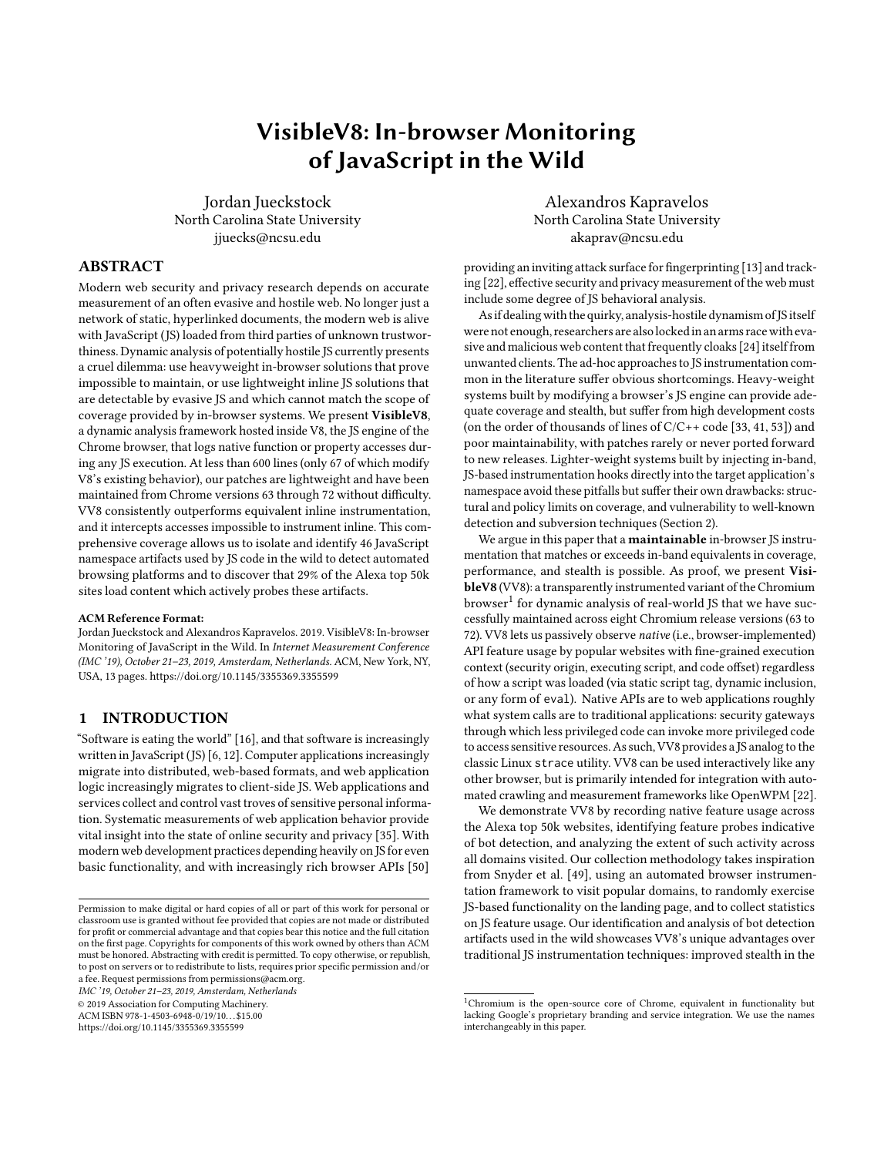

Figure 4: The complete data collection and post-processing system

using the Chrome DevTools API to open a tab, navigate to a URL, and monitor progress of the job. Manifold handles the byproducts of execution, compressing and archiving the trace log files emitted during automated browsing.

The post-processor worker node Docker image contains a work queue dispatcher and themain post-processor engine. The dispatcher interfaces with our existing work queue infrastructure and is written in Python 3. The post-processor engine is written in Go, which provides ease-of-use comparable to Python but significantly higher performance.

# 4 DATA COLLECTION

## 4.1 Methodology

Overview. We collected native feature usage traces and related data by automating VV8 via the Chrome DevTools interface to visit the Alexa top 50k web domains. We began each visit to DOMAIN using the simple URL template http://DOMAIN/. We visited each domain in our target list 5 times (see below); each planned visit constituted a job. We recorded headers and bodies of all HTTP requests and responses along with the VV8 trace logs. Trace log files were compressed and archived immediately during jobs, then queued for postprocessing. Post-processing associated logs with the originating job/domain and produced our analytic data set.

User Input Simulation. Simply visiting a page may result in much JS activity, but there is no guarantee that this activity is representative. The classic challenge of dynamic analysis—input

generation—rears its head. We borrowed a solution to this problem from Snyder et al. [49]: random "monkey testing" of the UI using the open source gremlins. js library [5]. To preserve some degree of reproducibility, we used a deterministic, per-job seed for gremlins.js's random number generator.

Once a page's DOM was interaction-ready, we unleashed our gremlins.js interaction for 30 seconds. We blocked all main-frame navigations if they led to different domains (e.g., from example.com to bogus.com). When allowing intra-domain navigation (e.g., from example.com to www.example.com), we stopped counting time until we loaded the new destination and resume the monkey testing. We immediately closed any dialog boxes (e.g., alert()) opened during the monkey testing to keep JS execution from blocking. This 30 second mock-interaction procedure was performed 5 times, independently, per visited domain. (Snyder et al. [49] arrived at these parameters experimentally.)

## 4.2 Data Post-Processing

We parsed the trace logs to reconstruct the execution context of each recorded event and to aggregate results by that context. The resulting output included all the distinct scripts encountered and aggregate feature usage tuples.

Script Harvesting. VisibleV8 records the full JS source of every script it encounters in its trace log (exactly once per log). We extracted and archived all such scripts, identifying them by script hash and lexical hash. Script hashes are simply the SHA256 hash of the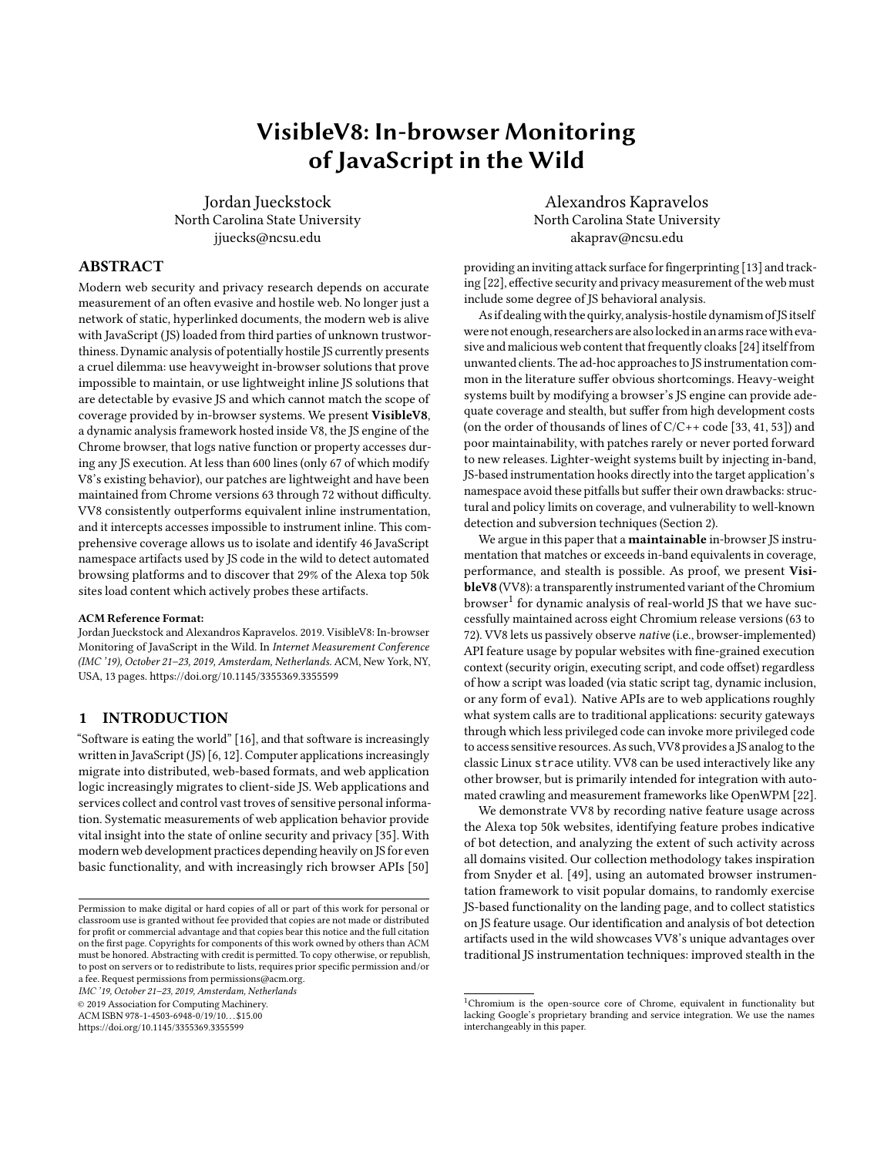full script source (encoded as UTF-8); they served as the script's unique ID. Lexical hashes were computed by tokenizing the script and SHA256-hashing the sequence of JS token type names that result. These are useful because many sites generate "unique" JS scripts that differ only by timestamps embedded in comments or unique identifiers in string literals. Such variants produced identical lexical hashes, letting us group variant families.

Feature Usage Tuples. We recorded a feature usage tuple for each distinct combination of log file, visit domain, security origin, active script, access site, access mode, and feature name. The log file component let us distinguish collection runs. The visit domain is the Alexa domain originally queued for processing. The security origin was the value of window.origin in the active execution context, which may be completely different from the visit domain in the context of an <iframe>. The *active script* is identified by script hash. The access site is the character offset within the script that triggered this usage event. The access mode is how the feature was used (get, set, or call). The feature name is a name synthesized from the name of the receiver object's constructor function (effectively its type name) and the name of the accessed member of that object (i.e., the property or method name).

#### 4.3 Results

Success and Failure Rates. Our methodology called for 5 visits to the Alexa 50k, so the whole experiment consisted of 250,000 distinct jobs. Successful jobs visited the constructed URL, launched gremlins.js, and recorded at least 30 seconds of pseudo-interaction time. Jobs resulting in immediate redirects (by HTTP or JS) to a different domain before any interaction began were deemed "dead ends".

From job status we extract the per-domain coverage listed in Table 2. For "active" domains, all 5 jobs succeed and we observed native JS API usage. For "silent": all 5 jobs succeed, but we observed no native JS API usage. For "facade": all 5 jobs were "dead ends"(i.e., the domain is an alias). All of the above are considered "successful" domains.

Some domains were "broken," with all 5 jobs failing; a tiny number were "inconsistent," with a mix of failed/succeeded jobs. This failure rate is not out of line with prior results crawling web sites. Snyder et al. [49] reported a lower per-domain failure rate (2.7%), but this was over the Alexa top 10,000 only. On the other extreme, a recent measurement study by Merzdovnik et al. [36] reported successful visits to only about 100k out of the top Alexa 200k web domains.

Aggregate Feature Usage. Over the entire Alexa 50k, we observed 53% of Chrome-IDL-defined standard JS API features used at least once. Note that our observations comprise a lower bound on usage, since we did not crawl applications requiring authentication (e.g., Google Documents), which we intuitively anticipate may use a wider range of APIs than generic, public-facing content. Most modern sites use JS heavily, but no site uses all available features. The

|            |         | Active       | 42.845 | 85.69%  |        |        |
|------------|---------|--------------|--------|---------|--------|--------|
|            | Success | Silent       | 1,702  | 3.40%   | 92.11% |        |
| Consistent |         | Facade       | 1.508  | 3.02%   |        | 98.54% |
|            |         | Broken       | 3.214  | 6.43%   |        |        |
|            |         | Inconsistent | 731    | 1.46%   |        |        |
|            |         | TOTAL        | 50,000 | 100.00% |        |        |

Table 2: Final domain status after collection



Figure 5: Cumulative feature use over the Alexa 50k

plot in Figure 5 thus climbs steeply before leveling out into a gentle upward slope. The small but distinctive "cliffs" observed at rocketleague.com (Alexa 16,495) and noa.al (Alexa 22,184) are caused by large clumps of SVG-related features being used for the first time.

## 5 BOT DETECTION ARTIFACTS

Modern websites adapt their behavior based on the capabilities of the browser that is visiting them. The identification of a specific browser implementation is called user-agent fingerprinting and it is often used for compatibility purposes. To provide a case study of VV8's unique abilities, we use it to automatically discover artifacts employed by a form of user-agent fingerprinting used by some websites in the wild to detect automated browser platforms.

The technique we study exploits the presence of distinctive, nonstandard features on API objects like Window (which doubles as the JS global object) and Navigator as provided by automated browsers and browser simulacra. (Since even modern search engine indexers need some degree of JS support[1], we do not consider mechanisms used to identify "dumb," non-JS-executing crawlers like wget.) Here VV8's ability to trace native property accesses without a priori knowledge of the properties to instrument sets it apart from in-band instrumentation, which cannot wrap a proxy around the global object or the unforgeable window.document property. Note that "native API property access" here means a property access on an object that crosses the JS/native API boundary, regardless of whether or not that specific property is standardized or even implemented.

Bot detection is a special case of user-agent fingerprinting, where "bots" are automated web clients not under the direct control of a human user (e.g., headless browsers used as JS-supporting web crawlers). Bots may be a nuisance or even a threat to websites [25], and they may cause financial loss to advertisers via accidental (or intentional) impression and/or click fraud. If the visitor's user-agent fingerprint matches a known bot, a site can choose to "defend" itself against undesired bot access by taking evasive action (e.g., redirecting to an error page) [24]. Non-standard features distinctive to known bot platforms, then, constitute bot artifacts. We exploit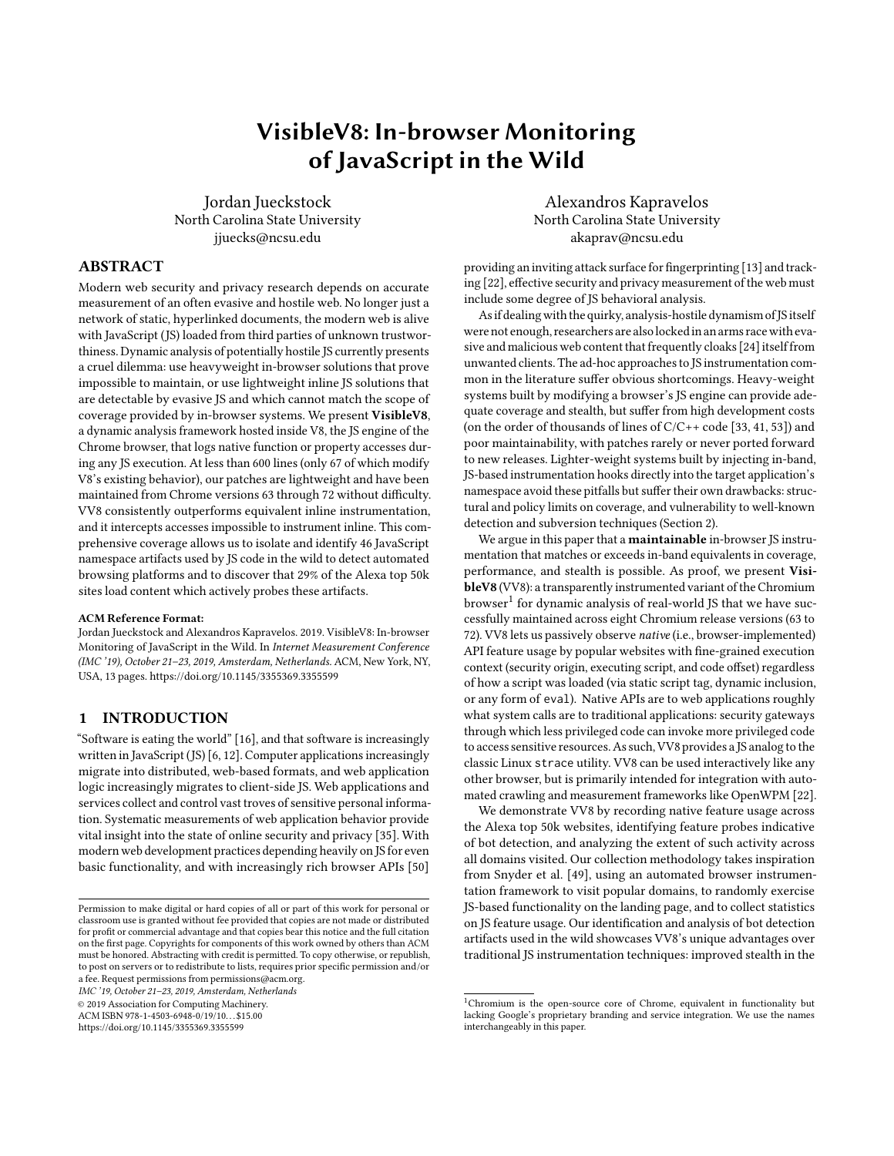| <b>Artifact Name</b> | <b>Bot Platform Indicated</b>       |
|----------------------|-------------------------------------|
| Window._phantom      | PhantomJS [10]                      |
| Window.webdriver     | Selenium [11] WebDriver             |
| Window.domAutomation | ChromeDriver (WebDriver for Chrome) |

Table 3: Bot detection seed artifacts

VV8's comprehensive API-property-access tracing to systematically discover novel artifacts.

## 5.1 Artifact Discovery Methodology

We discover previously unknown bot artifacts by clustering the *ac*cess sites (i.e., script offsets of feature accesses) for candidate features near those of known "seed" artifacts. The key insight underlying our approach is code locality: in our experience, artifact tests tend to be clustered near each other in user-agent fingerprinting code encountered across the web. We exploit this locality effect to automate the process of eliminating noise and identifying a small set of candidates for manual analysis.

Candidate Feature Pool. Before searching for artifacts, we prune our search space to eliminate impossible candidates. We eliminate features defined in the Chrome IDL files, since these are standardderived features unlikely to be distinctive to a bot platform. We also eliminate features seen set or called: these are likely distinctive to JS libraries, not the browser environment itself. This second round of pruning is especially important because JS notoriously conflates its global namespace with its "global object." Thus, in web browsers, global JS variables are accessible as properties of the window object along with all the official members of the Window interface. Retaining only features we never see set or called eliminates significant noise (e.g., references to the Window.jQuery feature) from our pool of candidate features: from 7,928,522 distinct names to 1,907,499.

Seed Artifact Selection. We further narrow our candidate pool using access site locality clustering around "seed" artifacts (Table 3). These features are among the most commonly listed in anecdotal bot detection checklists found in developer hubs like Stack Exchange [2], reflecting the popularity of Selenium's browser automation suite and the lighter-weight PhantomJS headless browser.

Candidate Artifact Discovery. With a pruned candidate feature pool and a set of seed artifacts in hand, we can automatically discover candidate artifacts by following these steps: (1) find all distinct access sites for seed artifacts in all archived scripts, (2) find all candidate feature access sites no more than <sup>1</sup>,<sup>024</sup> characters away from one of the located seed access sites and (3) extract the set of all candidate features whose access sites matched the seed locality requirement. From our initial set of 3 seed artifacts, the above process yields a set of 209 candidate artifacts (0.01% of the candidate pool) found near seed access sites in 7,528 distinct scripts (of which only 1,813 scripts were lexically-distinct).

Modern Browser Artifacts. We next eliminated from our candidates any artifacts found in a current, major web browser. We tested a total of nine browser variants manually: two for Chrome (v70 on Linux, v69 on macOS), three for Firefox (v63 on Linux, v62 on macOS, v63 on macOS), one for Safari (v12.0 on macOS), one for Edge (v17 on Windows 10), and two for Internet Explorer (v8 on Windows 7,

of JavaScript in the Wild IMC '19, October 21–23, 2019, Amsterdam, Netherlands

| Count | Category                            |
|-------|-------------------------------------|
| 3     | Seed Bot Artifact                   |
| 46    | New Bot Artifact                    |
| 10    | Possible Bot Indicator              |
| 19    | Device/Browser Fingerprint          |
| 46    | <b>Property Pollution/Iteration</b> |
| 11    | Type Error/Misspelling              |
| 8     | Missing Dependency                  |
| 5     | ∩ther                               |
|       |                                     |

Table 4: Candidate artifacts classified

v11 on Windows 10). In total we found 61 of the candidates present on at least one tested browser, leaving 148 candidates that might be indicative of a distinctive bot platform. The only 2 present on all 9 browsers were in fact standard JS (but not WebIDL-defined) features in the global object: Object and Function.

Manual Classification. The remaining 148 candidate artifacts we classified manually. Intuitively, if for every one of a candidate artifact's access sites there exists a data flow from that site to apparent data exfiltration or evasion logic, we consider that candidate a true artifact. If there exist benign or inconclusive examples, we conservatively assume the candidate is not a true artifact. (We also attempt to categorize false positives, but that process often depends on subjective judgment of programmer intent.)

To assist this process, we classified artifact access sites into 3 categories: direct if the feature name appears in the source code at the exact offset of the access site; **indirect** if the name appears only elsewhere in the code; and hidden if the name does not appear at all. A candidate found in a small number of distinct scripts and accessed mostly via hidden, monomorphic access sites almost always proved to be a bot detection artifact. Conversely, candidates found far and wide and accessed mostly via direct or polymorphic sites usually proved to not be true bot artifacts.

Table 4 shows the breakdown of manual classifications. We identified a total of 49 artifacts (including our seeds) used exclusively, as far as we could tell, for bot detection. We identified 10 more that we did see used for bot detection activity but not exclusively so. (To avoid false positives, we exclude these "maybe" artifacts from our aggregate results.) An additional 19 appeared to be known or suspected fingerprinting artifacts of specific browsers or devices (e.g., standard features with vendor prefixes like moz- and WebGL information query constants).

Almost all of the remaining candidate artifacts appear to be sideeffects of JS language quirks and sloppy programming. An example, extracted from a lightly obfuscated bot detection routine, explains some of the 46 artifacts we attribute to property pollution in iteration (Listing 5). This code iterates over an array of property names to check (in this case, all true bot artifacts). However, JS arrays intermingle indexed values with named properties, and this code fails to exclude properties (e.g., findAll)inherited from the array's prototype. As a result, a single polymorphic access site within our clustering radius would access both true bot artifacts and unrelated array method names, bloating our initial candidate artifact pool with spurious features that had to be weeded out manually.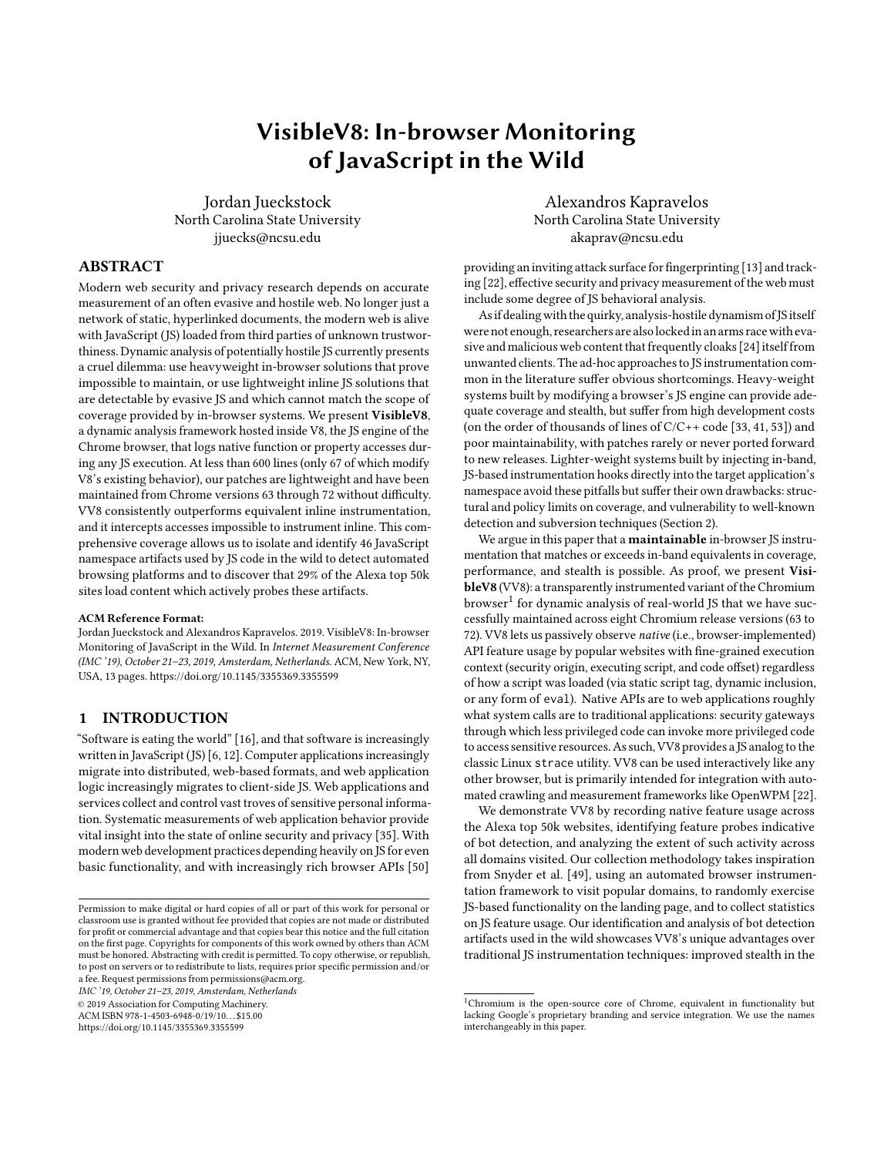|  |  | IMC '19, October 21–23, 2019, Amsterdam, Netherlands |  |  |  |  |  |  |
|--|--|------------------------------------------------------|--|--|--|--|--|--|
|--|--|------------------------------------------------------|--|--|--|--|--|--|

| Visit Domain      | Alexa Rank |
|-------------------|------------|
| youtube.com       | 2          |
| yahoo.com         | 6          |
| reddit.com        | 7          |
| amazon.com        | 11         |
| tmall.com         | 13         |
| weibo.com         | 21         |
| google.de         | 23         |
| ebay.com          | 45         |
| mail.ru           | 50         |
| stackoverflow.com | 55         |

Table 5: Highest ranked visit domains probing identified bot artifacts

Fortunately, the small size of the candidate set combined with the insights provided by access site classification made this task straightforward and tractable. Other identifiable sources of noise in the final candidate set include obvious type errors or misspellings (11) and what appear to be missing dependencies (8).

## 5.2 Artifact Analysis Results

Across Visited Domains. Our trace logs recorded probes of at least one definite bot artifact during visits to 14,575 (29%) of the Alexa top 50k. This number includes artifact accesses from both monomorphic (sites accessing only one feature; 24%) and polymorphic access sites (those accessing more than one feature name; 5%). If we consider only monomorphic access sites, the number drops to 11,830 visited sites, which is under 24% of the top 50k. The modest size of that drop implies that most bot detection scripts, even if obfuscated, perform artifact probes on a one-by-one basis rather than through changing, loop-carried indirect member accesses. Table 5 shows the top 10 visited domains (by Alexa ranking at the time of data collection) on which bot artifact probes were detected.

Across Security Origin Domains. When we consider security origin domains as well as visit domains, we find that the majority (over 73%) of bot artifact accesses happen inside third-party sourced <iframe>s, as is typical of advertisements, third-party widgets, and trackers. Here we are defining "first-party" as having a security origin domain containing the visit domain as a suffix and "thirdparty" as everything else. Using a stricter, exact-match definition like the browser's Same-Origin Policy would result in an even higher third-to-first-party ratio.

|                | $1 / \star$ originally                                                                              |
|----------------|-----------------------------------------------------------------------------------------------------|
|                | obfuscated via string opaque concatenation */                                                       |
| 2              | l var d                                                                                             |
|                | = ["_phantom","__nightmare","_selenium","callPhantom<br>","callSelenium","_Selenium_IDE_Recorder"], |
|                |                                                                                                     |
| $\overline{4}$ |                                                                                                     |
| 5              | for (var $l$ in d) {                                                                                |
|                |                                                                                                     |
|                |                                                                                                     |
|                | 6<br>$\begin{array}{c} 6 \ 7 \ 7 \ 8 \ 3 \end{array}$ if (e[v]) return v                            |
|                |                                                                                                     |

 $\frac{4}{5}$ 

Listing 5: Noisy artifact probing

Jordan Jueckstock and Alexandros Kapravelos

| Origin Domain                   | <b>Visit Domains</b> |
|---------------------------------|----------------------|
| tpc.googlesyndication.com       | 10,291               |
| googleads.g.doubleclick.net     | 3,980                |
| ad.doubleclick.net              | 1,853                |
| secure.ace.advertising.com      | 1,150                |
| www.youtube.com                 | 1,041                |
| nym1-ib.adnxs.com               | 699                  |
| media.netseer.com               | 321                  |
| adserver.juicyads.com           | 175                  |
| openload.co                     | 168                  |
| aax-us-east.amazon-adsystem.com | 121                  |

Table 6: Top security origin domains probing bot artifacts

| <b>Artifact Feature Name</b>              | <b>Visit</b><br>Domains | Security<br>Origins |
|-------------------------------------------|-------------------------|---------------------|
|                                           |                         |                     |
| HTMLDocument.\$cdc_asdjflasutopfhvcZLmcfl | 11,409                  | 887                 |
| Window.domAutomationController            | 11,032                  | 2,317               |
| Window.callPhantom                        | 10,857                  | 5,088               |
| Window. phantom                           | 10,696                  | 5,052               |
| Window.awesomium                          | 10,650                  | 203                 |
| HTMLDocument.\$wdc                        | 10,509                  | 18                  |
| Window.domAutomation                      | 7,013                   | 2,674               |
| Window. WEBDRIVER ELEM CACHE              | 6,123                   | 1,803               |
| Window.webdriver                          | 2,756                   | 1,832               |
| Window.spawn                              | 1,722                   | 1,559               |
| HTMLDocument. webdriver script fn         | 1,526                   | 1,390               |
| Window. phantomas                         | 1,363                   | 1,103               |
| HTMLDocument.webdriver                    | 1,244                   | 529                 |
| Window.phantom                            | 953                     | 820                 |
| Window. nightmare                         | 909                     | 628                 |

Table 7: Most-probed bot artifacts

We found bot artifact probes in the contexts of 6,257 distinct security origin domains. Table 6 lists the top 10 origin domains for bot detection activity. Naturally, four of the top five are affiliated with Google's advertising platform. Scripts running in the context of the top domain, tpc.googlesyndication.com, probed no less than 42 of our 49 confirmed artifacts (85%).

We believe most of these instances to be benign in intent. Advertisers have legitimate incentive to avoid paying for pointless ad impressions by blocking bots. But large-scale (i.e., automated) web measurement accuracy may become collateral damage in this arms race. The future is not bright for naive, off-the-shelf web crawling infrastructure.

Popular Artifacts. In Table 7 we list our 15 most popular (by visit domain cardinality) bot detection artifacts. Unsurprisingly, given our seed artifacts, most results appear associated with variants of Selenium and PhantomJS. But our locality search pattern also discovered artifacts of additional automation platforms: Awesomium, NightmareJS, and Rhino/HTMLUnit. The full list of discovered artifacts includes a superset of all the Selenium and PhantomJS artifacts tested for in the latest available version [54] of Fp-Scanner [55].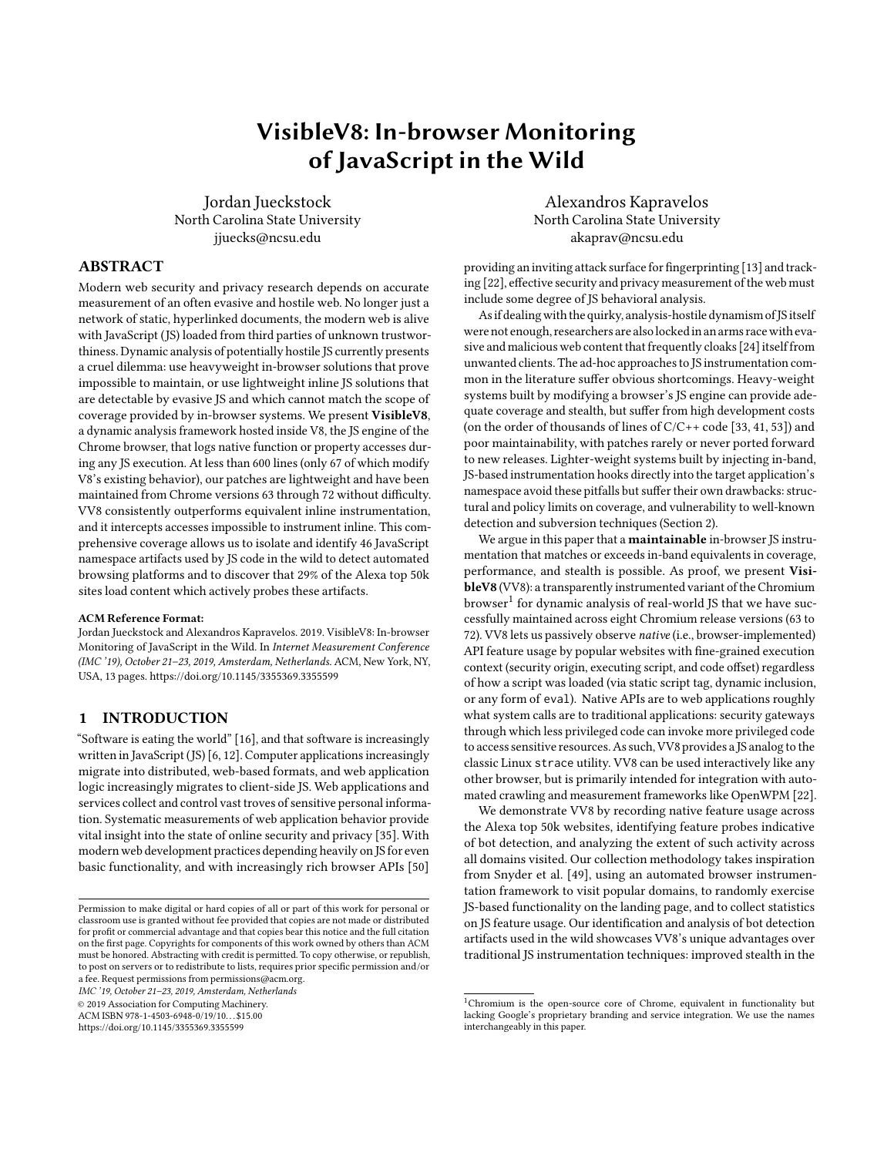| 1              | detectExecEnv: function() {                           |
|----------------|-------------------------------------------------------|
| 2              | var $e = "$ ":                                        |
| 3              | return                                                |
| $\overline{4}$ | (window._phantom                                      |
| 5              | $  \cdot   \cdot \rangle$ more PhantomJS probes $*/)$ |
| 6              | $88$ (e $+=$ "phantomis"),                            |
| 7              | window.Buffer $88$ (e $+=$ "nodejs"),                 |
| 8              | window.emit $\&$ (e $+=$ "couchjs"),                  |
| 9              | window.spawn $& $ (e += "rhino"),                     |
| 10             | window.webdriver $88$ (e $+=$ "selenium"),            |
| 11             | (window.domAutomation                                 |
| 12             | window.domAutomationController)                       |
| 13             | $&8$ (e +=                                            |
|                | "chromium-based-automation-driver"), e                |
| 14             |                                                       |
|                |                                                       |

Listing 6: Artifact attribution in the wild

Most of the artifact names are highly suggestive and/or selfexplanatory, with the single most common association being Selenium, but a few require explanation. The \$cdc\_... artifact is an indicator of ChromeDriver, as \$wdc\_ is of WebDriver; notably, these are among the relative minority of artifacts found on non-global objects like window.document. spawn is an artifact of the Rhino JS engine, which is itself an indicator of the HTMLUnit headless browser system.

## 5.3 Case Studies

Explicit Bot Identification. Listing 6 shows part of a script loaded from<http://security.iqiyi.com/static/cook/v1/cooksdk.js> which we observed on visits to iqiyi.com, qiyi.com, zol.com, and pps.tv. The script, which appeared to be the result of automatically bundling many related library modules together, was minified but not obfuscated. It provides a rare example in which the attribution logic is fairly obvious: the presence of specific artifacts directly triggers what appears to be bot labeling via string concatenation. Note that this example uses Window.Buffer, one of our "possible" bot artifacts, which implies execution in the Node.js environment. Code locality strikes again: the code immediately adjacent to this excerpt includes functions that collect attributes of a containing <iframe> and and detect the activation of "private browsing."

Evasive Action. Listing 7 includes the core of an aggressively obfuscated script loaded exactly once, from [http://www.school.kotar.](http://www.school.kotar.co.il/) [co.il/.](http://www.school.kotar.co.il/) 73 other scripts in our collection share the same lexical hash. These were loaded on visits to 10 different Alexa domains, including <https://www.payoneer.com/> and several .il domains. This script provides a clear example of artifact-based bot deflection. The obfuscation is distinctive, layering typical string garbling techniques behind a tangle of trivial functions performing simple operations

```
/* Original obfuscated code excerpt */
2 \mid = window;
\overline{3} if (u82222.w(u82222.0(/* ... */))) {}
4 else location [u82222.f(u82222.r(11) +/* ... */]();
     5 /* Deobfuscated version */
6 if (_[" phantom "] || /* more PhantomJS probes */
          \lfloor \frac{1}{2} \rfloor^{\frac{1}{2}} Buffer"] || \lfloor \frac{1}{2} \rfloor^{\frac{1}{2}} || \lfloor \frac{1}{2} \rfloor^{\frac{1}{2}} spawn"]
8 | || _["webdriver"] || _["domAutomation"]
9 | || _["domAutomationController"]) {}
10 else location [" reload "]() ;
```
Listing 7: Bot deflection in the wild

like addition, comparison, or nothing at all. The deobfuscated script is trivial: if any of its artifact probes succeed, it does nothing; if they all fail, it reloads the current frame/page (presumably, with new content deemed too valuable for consumption by bots).

## 6 RELATED WORK

Security and Sandboxing. JStill [56] used static code signatures to detect known classes of JS obfuscation commonly employed by malware. Revolver [28] employed static lexical fingerprints and spatial clustering to detect and track the evolution of JS malware samples as their authors modified them to evade detection by the Wepawet browser honeypot/sandbox. Saxena et al. used off-line symbolic execution [46] to discover cross-site-scripting (XSS) vulnerabilities in JS code from web applications. The Rozzle [29] malware detection system employed a pragmatic form of symbolic execution to dramatically enhance the effectiveness of existing malware classifiers based on both dynamic and static analysis. Hulk [27] employed JS dynamic analysis techniques to elicit and detect malicious behavior of extensions for the Chrome browser.

Taint analysis of JS has been used to identify cross-site-scripting (XSS) vulnerabilities [31, 51] or leaks of private data to third parties [19, 53]. Taint analysis typically depends on substantial patches to a fixed (and soon obsolete) version of a browser; an exception [20] uses JS source rewriting to achieve inline flow monitoring without JS engine modifications, but the overhead is prohibitive.

Ambitious forensic browsing record and replay systems built via browser modification include WebCapsule [41] and JSgraph [33]. JSgraph in particular provides sophisticated causality tracking across related HTTP, DOM, and JS events (although it does not provide the breadth of API logging VV8 does). These systems provide impressive capabilities, but they quickly become obsolete as the upstream browser code bases rapidly evolve and the patches are left unmaintained (if made available at all).

Published JS sandboxing systems include both in-band systems like JSand [14] and Phung et al. [43] and out-of-band systems like ConScript [37]. Attempts [18, 52] to fully sandbox JS execution inside a JS engine implemented in JS, while technically sound, inevitably exhibit unacceptable performance.

Measurements. Richards' ironically titled survey [44] of realworld usage of JS's infamous eval feature provides an exhaustive catalog of uses and abuses and prompted at least one direct follow-up mitigation effort [26]. Nikiforakis's measurement [42] of remote JS script inclusions on top web sites, while not technically an analysis of JS code per se, clearly documented the distributed nature of JS web applications and many practical trust and security issues raised by that structure. Mayer and Mitchell produced the influential Fourth-Party web measurement framework and demonstrated the value of comprehensive web measurements while measuring third-party web tracking [35].

Acar et al. used in-browser instrumentation of select features to detect and measure browser fingerprinting with FPDetective [13]. Englehardt and Narayanan's survey of online trackers [22] served as a showcase for the mature and popular [21, 38] OpenWPM web privacy measurement platform built around Firefox. Like FourthParty before it, OpenWPM favors the flexibility of JS-based instrumentation over the in-browser approach taken by VV8. For the specific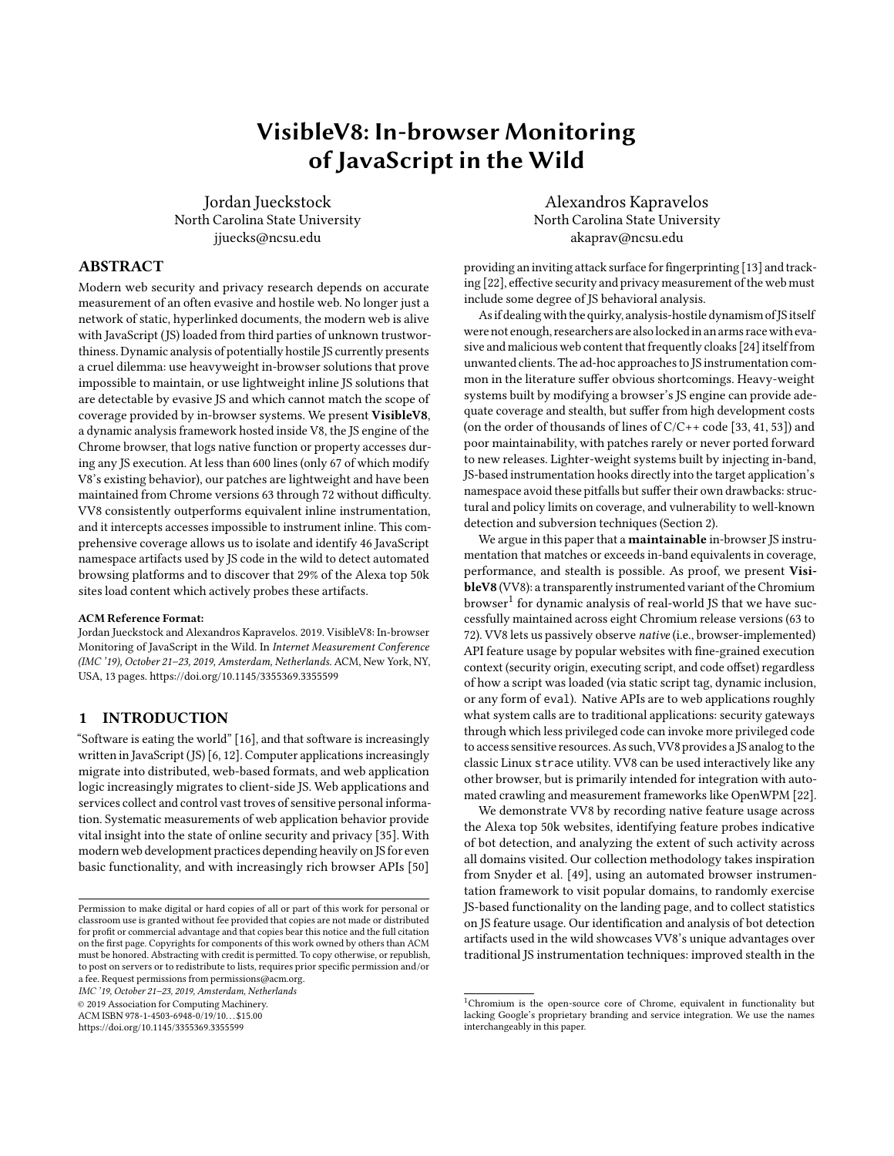measurement goals of this paper, our in-browser approach provided coverage OpenWPM's in-band instrumentation could not match (Section 2). Merzdovnik et al. [36] measured the effectiveness of tracker blocking tools like Ghostery and AdBlock Plus while visiting over 100,000 sites within the Alexa top 200,000 domains. Their focus was on identifying sources of 3rd-party tracking and measuring the success or failure of blockers; ours is on fine-grained feature usage attribution and analysis on a script-by-script basis.

Lauinger et al. [30] surveyed 133,000 top sites and discovered widespread use of outdated or vulnerable JS libraries using a browser automation system like ours but without instrumenting or logging API usage. Snyder's measurement [49] of JS browser API usage on top web sites found approximately 50% of the available features completely unused of the Alexa top 10K at the time of measurement. A follow-up work [50] explored the degree to which potentially dangerous or undesirable JS browser API features could be disabled to reduce the browser's attack surface without disrupting the user's web browsing experience.

#### 7 CONCLUSION

We have made the case for choosing out-of-band over in-band JS instrumentation when measuring the web for security and privacy concerns. We also presented VisibleV8, a custom variant of Chrome for measuring native JS/browser features used on the web. VV8 is modern, stealthy, and fast enough for both interactive use and web-scale automation. Our implementation is a small, highly maintainable patch easily ported to new browser versions. The resulting instrumentation, hidden inside the JS engine itself, is transparent to the visited pages, performs as well or better than in-band equivalents, and provides fine-grained feature tracking by source script and security origin. With VV8 we have observed JS code loaded directly or by frames on 29% of the Alexa top 50k sites actively testing for common automated browser frameworks. As many web measurements rely on such tools, this result marks a concerning development for security and privacy research on the web. VisibleV8 has proven itself a transparent, efficient, and effective observation platform. We hope its public release contributes to the development of more nextgeneration web instrumentation and measurement tools for security and privacy research.

## 8 AVAILABILITY

The VisibleV8 patches to Chromium, along with tools and documentation, are publicly available at:

<https://kapravelos.com/projects/vv8>

#### 9 ACKNOWLEDGEMENTS

We would like to thank our shepherd Dave Levin and the anonymous reviewers for their insightful comments and feedback. This work was supported by the Office of Naval Research (ONR) under grant N00014-17-1-2541, by DARPA under agreement number FA8750-19- C-0003, and by the National Science Foundation (NSF) under grant CNS-1703375.

#### **REFERENCES**

[1] 2014. Understanding web pages better. [https://webmasters.googleblog.com/2014/](https://webmasters.googleblog.com/2014/05/understanding-web-pages-better.html) [05/understanding-web-pages-better.html.](https://webmasters.googleblog.com/2014/05/understanding-web-pages-better.html) (2014). Accessed: 2019-8-19.

- [2] 2016. javascript Can a website detect when you are using selenium with chromedriver? [https://stackoverflow.com/a/41220267.](https://stackoverflow.com/a/41220267) (2016). Accessed: 2018-11-15.
- [3] 2017. Bug 1424176. [https://bugzilla.mozilla.org/show\\_bug.cgi?id=1424176.](https://bugzilla.mozilla.org/show_bug.cgi?id=1424176) (2017). Accessed: 2018-11-15.
- [4] 2017. Issue 793217. [https://bugs.chromium.org/p/chromium/issues/detail?id=](https://bugs.chromium.org/p/chromium/issues/detail?id=793217) [793217.](https://bugs.chromium.org/p/chromium/issues/detail?id=793217) (2017). Accessed: 2018-11-15.
- [5] 2018. marmelab/gremlins.js: Monkey testing library for web apps and Node.js. [https://github.com/marmelab/gremlins.js.](https://github.com/marmelab/gremlins.js) (2018). Accessed: 2018-11-15.
- [6] 2018. The State of the Octoverse: top programming languages of 2018. [https://](https://github.blog/2018-11-15-state-of-the-octoverse-top-programming-languages/) [github.blog/2018-11-15-state-of-the-octoverse-top-programming-languages/.](https://github.blog/2018-11-15-state-of-the-octoverse-top-programming-languages/) (2018). Accessed: 2019-5-8.
- [7] 2018. WebIDL Level 1. [https://www.w3.org/TR/WebIDL-1/.](https://www.w3.org/TR/WebIDL-1/) (2018). Accessed: 2018-11-15.
- [8] 2019. BrowserBench.org. [https://browserbench.org/.](https://browserbench.org/) (2019). Accessed: 2019-1-25.
- [9] 2019. Dromaeo. [http://dromaeo.com/?recommended.](http://dromaeo.com/?recommended) (2019). Accessed: 2019-1-25.
- [10] 2019. PhantomJS Scriptable Headless Browser. [http://phantomjs.org/.](http://phantomjs.org/) (2019). Accessed: 2019-2-1.
- [11] 2019. Selenium Web Browser Automation. [https://docs.seleniumhq.org/.](https://docs.seleniumhq.org/) (2019). Accessed: 2019-2-1.<br>[12] 2019. The Red
- The RedMonk Programming Language Rankings: January 2019. [https://redmonk.com/sogrady/2019/03/20/language-rankings-1-19/.](https://redmonk.com/sogrady/2019/03/20/language-rankings-1-19/) (2019). Accessed: 2019-5-8.
- [13] Gunes Acar, Marc Juarez, Nick Nikiforakis, Claudia Diaz, Seda Gürses, Frank Piessens, and Bart Preneel. 2013. FPDetective: Dusting the Web for Fingerprinters. In Proceedings of the ACM Conference on Computer and Communications Security (CCS).
- [14] Pieter Agten, Steven Van Acker, Yoran Brondsema, Phu H Phung, Lieven Desmet, and Frank Piessens. 2012. JSand: Complete Client-Side Sandboxing of Third-Party JavaScript without Browser Modifications. In Proceedings of the Annual Computer Security Applications Conference (ACSAC). ACM.
- [15] James P Anderson. 1972. Computer Security Technology Planning Study. Volume 2. Technical Report. Anderson (James P) and Co Fort Washington PA.
- [16] Marc Andreessen. 2011. Why Software is Eating the World. [https:](https://www.wsj.com/articles/SB10001424053111903480904576512250915629460) [//www.wsj.com/articles/SB10001424053111903480904576512250915629460.](https://www.wsj.com/articles/SB10001424053111903480904576512250915629460) (2011). Accessed: 2018-04-20.
- [17] Yinzhi Cao, Zhanhao Chen, Song Li, and Shujiang Wu. 2017. Deterministic Browser. In Proceedings of the ACM Conference on Computer and Communications Security (CCS).
- [18] Yinzhi Cao, Zhichun Li, Vaibhav Rastogi, Yan Chen, and Xitao Wen. 2012. Virtual Browser: A Virtualized Browser to Sandbox Third-party JavaScripts with Enhanced Security. In Proceedings of the 7th ACM Symposium on Information, Computer and Communications Security (ASIACCS '12). ACM.
- [19] Quan Chen and Alexandros Kapravelos. 2018. Mystique: Uncovering Information Leakage from Browser Extensions. In Proceedings of the ACM Conference on Computer andCommunications Security (CCS)[. https://doi.org/10.1145/3243734.3243823](https://doi.org/10.1145/3243734.3243823)
- [20] Andrey Chudnov and David A Naumann. 2015. Inlined information flow monitoring for javascript. In Proceedings of the ACM Conference on Computer and Communications Security (CCS). ACM.
- [21] Anupam Das, Gunes Acar, Nikita Borisov, and Amogh Pradeep. 2018. The Web's Sixth Sense: A Study of Scripts Accessing Smartphone Sensors. In Proceedings of the ACM Conference on Computer and Communications Security (CCS).<https://doi.org/10.1145/3243734.3243860>
- [22] Steven Englehardt and Arvind Narayanan. 2016. Online Tracking: A 1-million-site Measurement and Analysis. In Proceedings of the ACM Conference on Computer and Communications Security (CCS). ACM.<https://doi.org/10.1145/2976749.2978313>
- [23] Úlfar Erlingsson. 2003. The Inlined Reference Monitor Approach to Security Policy Enforcement. Technical Report. Cornell University.
- [24] Luca Invernizzi, Kurt Thomas, Alexandros Kapravelos, Oxana Comanescu, Jean-Michel Picod, and Elie Bursztein. 2016. Cloak of Visibility: Detecting When Machines Browse A Different Web. In Proceedings of the IEEE Symposium on Security and Privacy.
- [25] Gregoire Jacob, Engin Kirda, Christopher Kruegel, and Giovanni Vigna. 2012. PUBCRAWL: Protecting Users and Businesses from CRAWLers. In Proceedings of the USENIX Security Symposium.
- [26] Simon Holm Jensen, Peter A. Jonsson, and Anders Møller. 2012. Remedying the Eval That Men Do. In Proceedings of the 2012 International Symposium on Software Testing and Analysis (ISSTA 2012). ACM.<https://doi.org/10.1145/2338965.2336758>
- [27] Alexandros Kapravelos, Chris Grier, Neha Chachra, Chris Kruegel, Giovanni Vigna, and Vern Paxson. 2014. Hulk: Eliciting Malicious Behavior in Browser Extensions. In Proceedings of the USENIX Security Symposium. USENIX.
- [28] Alexandros Kapravelos, Yan Shoshitaishvili, Marco Cova, Chris Kruegel, and Giovanni Vigna. 2013. Revolver: An Automated Approach to the Detection of Evasive Web-based Malware. In Proceedings of the USENIX Security Symposium.
- [29] Clemens Kolbitsch, Benjamin Livshits, Benjamin Zorn, and Christian Seifert. 2012. Rozzle: De-Cloaking Internet Malware. In Proceedings of the IEEE Symposium on Security and Privacy. IEEE.